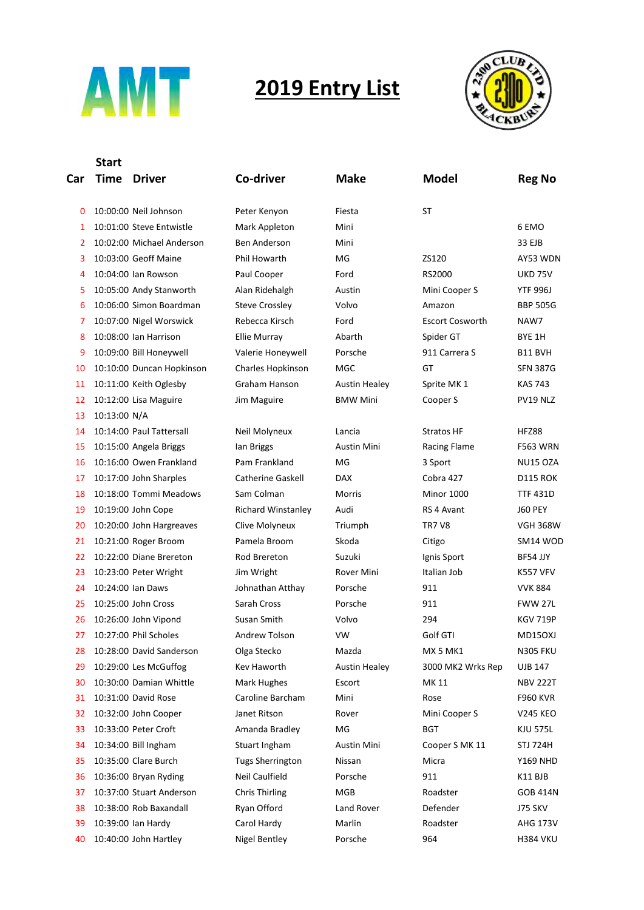

## **2019 Entry List**



## **Car Start Time Driver Co-driver Make Model Reg No** 0 10:00:00 Neil Johnson Peter Kenyon Fiesta ST 0 1 10:01:00 Steve Entwistle Mark Appleton Mini Mini 6 EMO 2 10:02:00 Michael Anderson Ben Anderson Mini Mini 33 EJB 3 10:03:00 Geoff Maine Phil Howarth MG ZS120 AY53 WDN 4 10:04:00 Ian Rowson Paul Cooper Ford RS2000 UKD 75V 5 10:05:00 Andy Stanworth Alan Ridehalgh Austin Mini Cooper S YTF 996J 6 10:06:00 Simon Boardman Steve Crossley Volvo Amazon BBP 505G 7 10:07:00 Nigel Worswick Rebecca Kirsch Ford Escort Cosworth NAW7 8 10:08:00 Ian Harrison Ellie Murray Abarth Spider GT BYE 1H 9 10:09:00 Bill Honeywell Valerie Honeywell Porsche 911 Carrera S B11 BVH 10 10:10:00 Duncan Hopkinson Charles Hopkinson MGC GT SFN 387G

- 12 10:12:00 Lisa Maguire Jim Maguire BMW Mini Cooper S PV19 NLZ
- 13 10:13:00 N/A
- 14 10:14:00 Paul Tattersall Neil Molyneux Lancia Stratos HF HFZ88
- 15 10:15:00 Angela Briggs Ian Briggs Ian Austin Mini Racing Flame F563 WRN
- 16 10:16:00 Owen Frankland Pam Frankland MG 3 Sport NU15 OZA
- 
- 
- 20 10:20:00 John Hargreaves Clive Molyneux Triumph TR7 V8 VGH 368W
- 21 10:21:00 Roger Broom Pamela Broom Skoda Citigo SM14 WOD
- 22 10:22:00 Diane Brereton and Brereton Rod Brereton Suzuki Sport BF54 JJY
- 23 10:23:00 Peter Wright Jim Wright Bover Mini Italian Job K557 VFV
- 24 10:24:00 Ian Daws Johnathan Atthay Porsche 911 VVK 884
- 
- 
- 
- 
- 
- 31 10:31:00 David Rose Caroline Barcham Mini Rose Rose F960 KVR
- 32 10:32:00 John Cooper Janet Ritson Rover Mini Cooper S V245 KEO
- 33 10:33:00 Peter Croft Amanda Bradley MG BGT KJU 575L
- 
- 
- 
- 38 10:38:00 Rob Baxandall **Ryan Offord** Land Rover Defender J75 SKV
- 39 10:39:00 Ian Hardy Carol Hardy Marlin Roadster AHG 173V
- 40 10:40:00 John Hartley Nigel Bentley Porsche 964 H384 VKU

11 10:11:00 Keith Oglesby Graham Hanson Austin Healey Sprite MK 1 KAS 743

 10:17:00 John Sharples Catherine Gaskell DAX Cobra 427 D115 ROK 18 10:18:00 Tommi Meadows Sam Colman Morris Minor 1000 TTF 431D 10:19:00 John Cope Richard Winstanley Audi RS 4 Avant J60 PEY 10:25:00 John Cross Sarah Cross Porsche 911 FWW 27L 10:26:00 John Vipond Susan Smith Volvo 294 KGV 719P 10:27:00 Phil Scholes Andrew Tolson VW Golf GTI MD15OXJ 28 10:28:00 David Sanderson Olga Stecko Mazda MX 5 MK1 N305 FKU 29 10:29:00 Les McGuffog Kev Haworth Austin Healey 3000 MK2 Wrks Rep UJB 147 10:30:00 Damian Whittle Mark Hughes Escort MK 11 NBV 222T 10:34:00 Bill Ingham Stuart Ingham Austin Mini Cooper S MK 11 STJ 724H 10:35:00 Clare Burch Tugs Sherrington Nissan Micra Y169 NHD 36 10:36:00 Bryan Ryding Neil Caulfield Porsche 911 Metal R11 BJB 37 10:37:00 Stuart Anderson Chris Thirling MGB Roadster GOB 414N